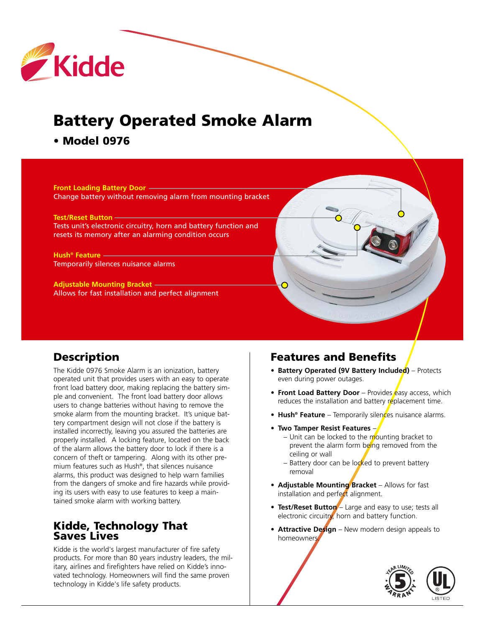

# **Battery Operated Smoke Alarm**

**• Model 0976**

**Front Loading Battery Door** Change battery without removing alarm from mounting bracket

**Test/Reset Button** Tests unit's electronic circuitry, horn and battery function and resets its memory after an alarming condition occurs

**Hush® Feature** Temporarily silences nuisance alarms

**Adjustable Mounting Bracket** Allows for fast installation and perfect alignment

## **Description**

The Kidde 0976 Smoke Alarm is an ionization, battery operated unit that provides users with an easy to operate front load battery door, making replacing the battery simple and convenient. The front load battery door allows users to change batteries without having to remove the smoke alarm from the mounting bracket. It's unique battery compartment design will not close if the battery is installed incorrectly, leaving you assured the batteries are properly installed. A locking feature, located on the back of the alarm allows the battery door to lock if there is a concern of theft or tampering. Along with its other premium features such as Hush®, that silences nuisance alarms, this product was designed to help warn families from the dangers of smoke and fire hazards while providing its users with easy to use features to keep a maintained smoke alarm with working battery.

#### **Kidde, Technology That Saves Lives**

Kidde is the world's largest manufacturer of fire safety products. For more than 80 years industry leaders, the military, airlines and firefighters have relied on Kidde's innovated technology. Homeowners will find the same proven technology in Kidde's life safety products.

## **Features and Benefits**

- **• Battery Operated (9V Battery Included)** Protects even during power outages.
- **Front Load Battery Door** Provides easy access, which reduces the installation and battery replacement time.
- **Hush<sup>®</sup> Feature** Temporarily silences nuisance alarms.
- **Two Tamper Resist Features** 
	- $-$  Unit can be locked to the mounting bracket to prevent the alarm form being removed from the ceiling or wall
	- $-$  Battery door can be locked to prevent battery removal
- **• Adjustable Mounting Bracket**  Allows for fast installation and perfect alignment.
- Test/Reset Button Large and easy to use; tests all electronic circuitry, horn and battery function.
- **• Attractive Design**  New modern design appeals to homeowners.